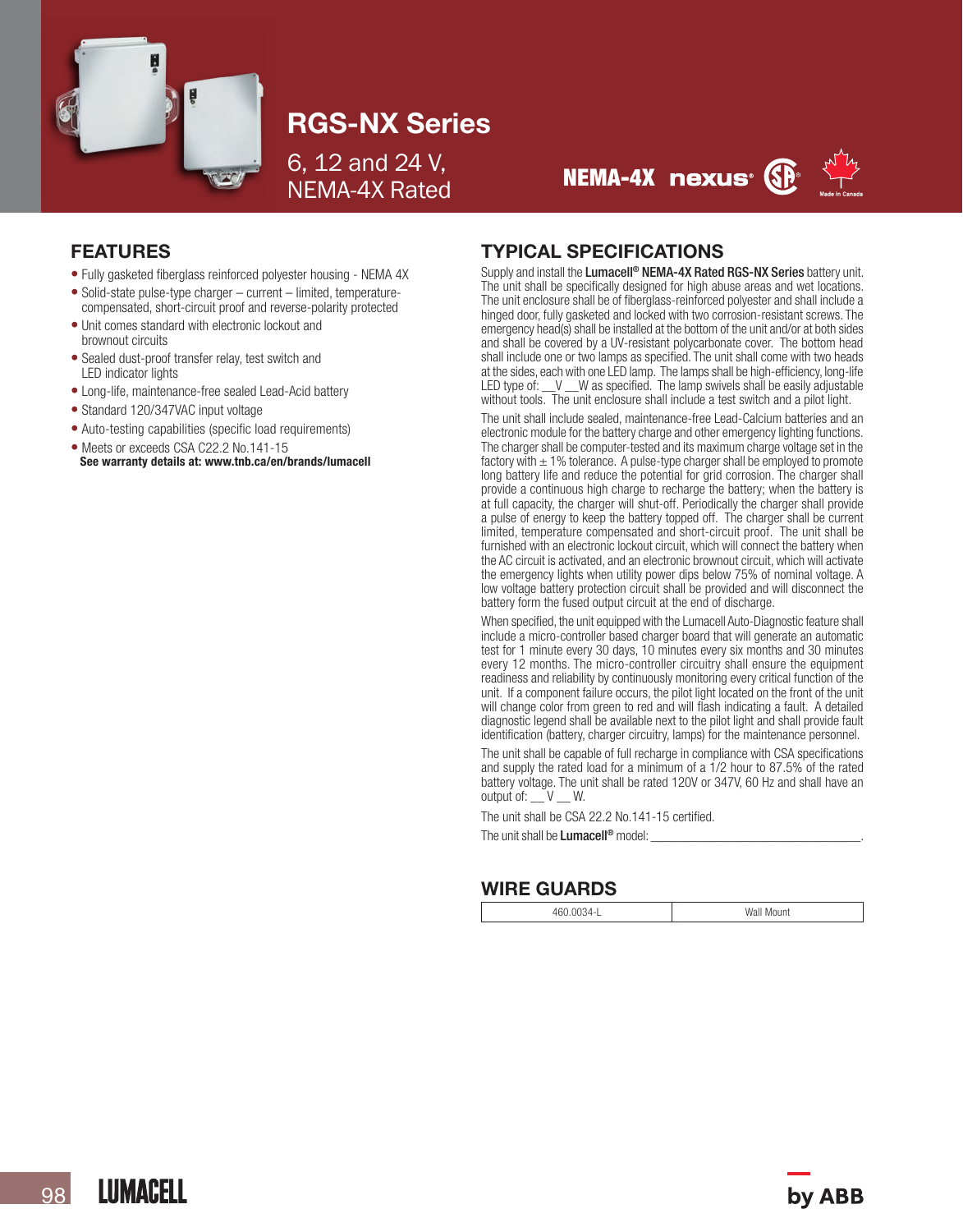

# RGS-NX Series

6, 12 and 24 V, NEMA-4X Rated





### FEATURES

- Fully gasketed fiberglass reinforced polyester housing NEMA 4X
- Solid-state pulse-type charger current limited, temperaturecompensated, short-circuit proof and reverse-polarity protected
- Unit comes standard with electronic lockout and brownout circuits
- Sealed dust-proof transfer relay, test switch and LED indicator lights
- Long-life, maintenance-free sealed Lead-Acid battery
- Standard 120/347VAC input voltage
- Auto-testing capabilities (specific load requirements)
- Meets or exceeds CSA C22.2 No.141-15 See warranty details at: www.tnb.ca/en/brands/lumacell

## TYPICAL SPECIFICATIONS

Supply and install the Lumacell<sup>®</sup> NEMA-4X Rated RGS-NX Series battery unit. The unit shall be specifically designed for high abuse areas and wet locations. The unit enclosure shall be of fiberglass-reinforced polyester and shall include a hinged door, fully gasketed and locked with two corrosion-resistant screws. The emergency head(s) shall be installed at the bottom of the unit and/or at both sides and shall be covered by a UV-resistant polycarbonate cover. The bottom head shall include one or two lamps as specified. The unit shall come with two heads at the sides, each with one LED lamp. The lamps shall be high-efficiency, long-life LED type of: \_\_V \_\_W as specified. The lamp swivels shall be easily adjustable without tools. The unit enclosure shall include a test switch and a pilot light.

The unit shall include sealed, maintenance-free Lead-Calcium batteries and an electronic module for the battery charge and other emergency lighting functions. The charger shall be computer-tested and its maximum charge voltage set in the factory with  $\pm$  1% tolerance. A pulse-type charger shall be employed to promote long battery life and reduce the potential for grid corrosion. The charger shall provide a continuous high charge to recharge the battery; when the battery is at full capacity, the charger will shut-off. Periodically the charger shall provide a pulse of energy to keep the battery topped off. The charger shall be current limited, temperature compensated and short-circuit proof. The unit shall be furnished with an electronic lockout circuit, which will connect the battery when the AC circuit is activated, and an electronic brownout circuit, which will activate the emergency lights when utility power dips below 75% of nominal voltage. A low voltage battery protection circuit shall be provided and will disconnect the battery form the fused output circuit at the end of discharge.

When specified, the unit equipped with the Lumacell Auto-Diagnostic feature shall include a micro-controller based charger board that will generate an automatic test for 1 minute every 30 days, 10 minutes every six months and 30 minutes every 12 months. The micro-controller circuitry shall ensure the equipment readiness and reliability by continuously monitoring every critical function of the unit. If a component failure occurs, the pilot light located on the front of the unit will change color from green to red and will flash indicating a fault. A detailed diagnostic legend shall be available next to the pilot light and shall provide fault identification (battery, charger circuitry, lamps) for the maintenance personnel.

The unit shall be capable of full recharge in compliance with CSA specifications and supply the rated load for a minimum of a 1/2 hour to 87.5% of the rated battery voltage. The unit shall be rated 120V or 347V, 60 Hz and shall have an output of: \_\_ V \_\_ W.

The unit shall be CSA 22.2 No.141-15 certified.

The unit shall be Lumacell<sup>®</sup> model:

## WIRE GUARDS

460.0034-L Wall Mount